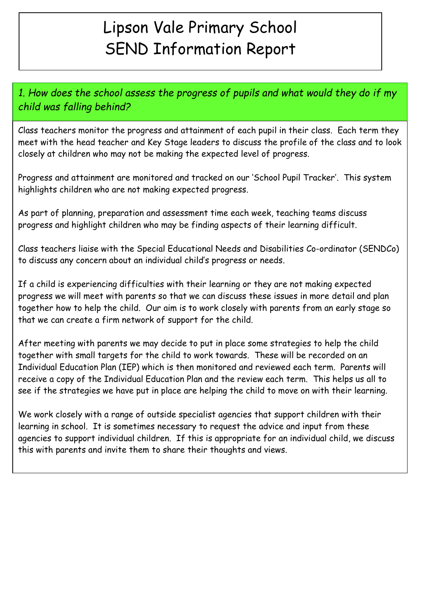# Lipson Vale Primary School SEND Information Report

1. How does the school assess the progress of pupils and what would they do if my child was falling behind?

Class teachers monitor the progress and attainment of each pupil in their class. Each term they meet with the head teacher and Key Stage leaders to discuss the profile of the class and to look closely at children who may not be making the expected level of progress.

Progress and attainment are monitored and tracked on our 'School Pupil Tracker'. This system highlights children who are not making expected progress.

As part of planning, preparation and assessment time each week, teaching teams discuss progress and highlight children who may be finding aspects of their learning difficult.

Class teachers liaise with the Special Educational Needs and Disabilities Co-ordinator (SENDCo) to discuss any concern about an individual child's progress or needs.

If a child is experiencing difficulties with their learning or they are not making expected progress we will meet with parents so that we can discuss these issues in more detail and plan together how to help the child. Our aim is to work closely with parents from an early stage so that we can create a firm network of support for the child.

After meeting with parents we may decide to put in place some strategies to help the child together with small targets for the child to work towards. These will be recorded on an Individual Education Plan (IEP) which is then monitored and reviewed each term. Parents will receive a copy of the Individual Education Plan and the review each term. This helps us all to see if the strategies we have put in place are helping the child to move on with their learning.

We work closely with a range of outside specialist agencies that support children with their learning in school. It is sometimes necessary to request the advice and input from these agencies to support individual children. If this is appropriate for an individual child, we discuss this with parents and invite them to share their thoughts and views.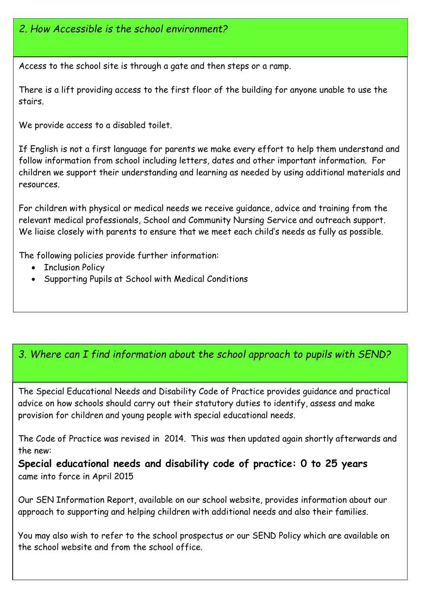#### 2. How Accessible is the school environment?

Access to the school site is through a gate and then steps or a ramp.

There is a lift providing access to the first floor of the building for anyone unable to use the stairs.

We provide access to a disabled toilet.

If English is not a first language for parents we make every effort to help them understand and follow information from school including letters, dates and other important information. For children we support their understanding and learning as needed by using additional materials and resources.

For children with physical or medical needs we receive guidance, advice and training from the relevant medical professionals, School and Community Nursing Service and outreach support. We liaise closely with parents to ensure that we meet each child's needs as fully as possible.

The following policies provide further information:

- Inclusion Policy
- Supporting Pupils at School with Medical Conditions

#### 3. Where can I find information about the school approach to pupils with SEND?

The Special Educational Needs and Disability Code of Practice provides guidance and practical advice on how schools should carry out their statutory duties to identify, assess and make provision for children and young people with special educational needs.

The Code of Practice was revised in 2014. This was then updated again shortly afterwards and the new:

Special educational needs and disability code of practice: 0 to 25 years came into force in April 2015

Our SEN Information Report, available on our school website, provides information about our approach to supporting and helping children with additional needs and also their families.

You may also wish to refer to the school prospectus or our SEND Policy which are available on the school website and from the school office.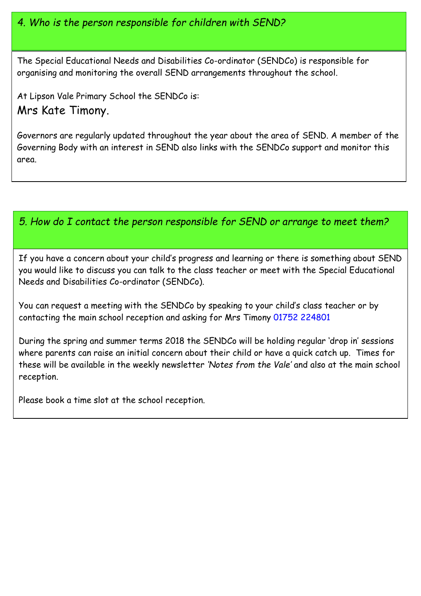4. Who is the person responsible for children with SEND?

The Special Educational Needs and Disabilities Co-ordinator (SENDCo) is responsible for organising and monitoring the overall SEND arrangements throughout the school.

At Lipson Vale Primary School the SENDCo is: Mrs Kate Timony.

Governors are regularly updated throughout the year about the area of SEND. A member of the Governing Body with an interest in SEND also links with the SENDCo support and monitor this area.

#### 5. How do I contact the person responsible for SEND or arrange to meet them?

If you have a concern about your child's progress and learning or there is something about SEND you would like to discuss you can talk to the class teacher or meet with the Special Educational Needs and Disabilities Co-ordinator (SENDCo).

You can request a meeting with the SENDCo by speaking to your child's class teacher or by contacting the main school reception and asking for Mrs Timony 01752 224801

During the spring and summer terms 2018 the SENDCo will be holding regular 'drop in' sessions where parents can raise an initial concern about their child or have a quick catch up. Times for these will be available in the weekly newsletter 'Notes from the Vale' and also at the main school reception.

Please book a time slot at the school reception.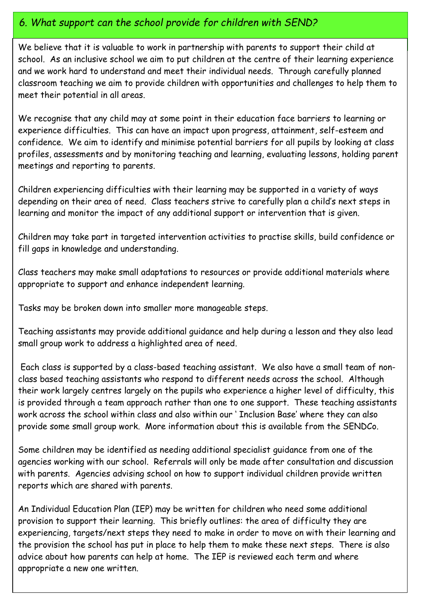#### 6. What support can the school provide for children with SEND?

We believe that it is valuable to work in partnership with parents to support their child at school. As an inclusive school we aim to put children at the centre of their learning experience and we work hard to understand and meet their individual needs. Through carefully planned classroom teaching we aim to provide children with opportunities and challenges to help them to meet their potential in all areas.

We recognise that any child may at some point in their education face barriers to learning or experience difficulties. This can have an impact upon progress, attainment, self-esteem and confidence. We aim to identify and minimise potential barriers for all pupils by looking at class profiles, assessments and by monitoring teaching and learning, evaluating lessons, holding parent meetings and reporting to parents.

Children experiencing difficulties with their learning may be supported in a variety of ways depending on their area of need. Class teachers strive to carefully plan a child's next steps in learning and monitor the impact of any additional support or intervention that is given.

Children may take part in targeted intervention activities to practise skills, build confidence or fill gaps in knowledge and understanding.

 appropriate to support and enhance independent learning. Class teachers may make small adaptations to resources or provide additional materials where

Tasks may be broken down into smaller more manageable steps.

Teaching assistants may provide additional guidance and help during a lesson and they also lead small group work to address a highlighted area of need.

 Each class is supported by a class-based teaching assistant. We also have a small team of nonclass based teaching assistants who respond to different needs across the school. Although their work largely centres largely on the pupils who experience a higher level of difficulty, this is provided through a team approach rather than one to one support. These teaching assistants work across the school within class and also within our ' Inclusion Base' where they can also provide some small group work. More information about this is available from the SENDCo.

Some children may be identified as needing additional specialist guidance from one of the agencies working with our school. Referrals will only be made after consultation and discussion with parents. Agencies advising school on how to support individual children provide written reports which are shared with parents.

An Individual Education Plan (IEP) may be written for children who need some additional provision to support their learning. This briefly outlines: the area of difficulty they are experiencing, targets/next steps they need to make in order to move on with their learning and the provision the school has put in place to help them to make these next steps. There is also advice about how parents can help at home. The IEP is reviewed each term and where appropriate a new one written.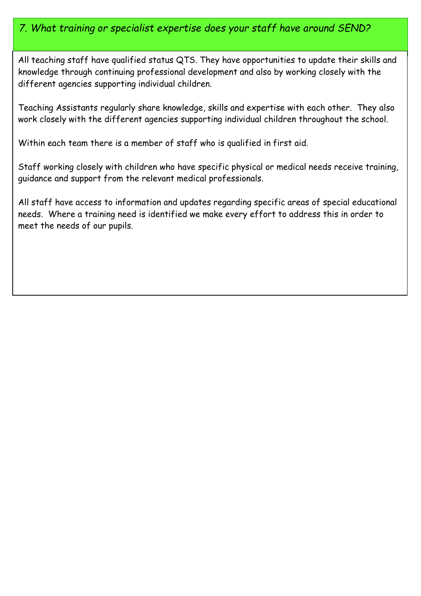#### 7. What training or specialist expertise does your staff have around SEND?

Ī All teaching staff have qualified status QTS. They have opportunities to update their skills and knowledge through continuing professional development and also by working closely with the different agencies supporting individual children.

Teaching Assistants regularly share knowledge, skills and expertise with each other. They also work closely with the different agencies supporting individual children throughout the school.

Within each team there is a member of staff who is qualified in first aid.

Staff working closely with children who have specific physical or medical needs receive training, guidance and support from the relevant medical professionals.

All staff have access to information and updates regarding specific areas of special educational needs. Where a training need is identified we make every effort to address this in order to meet the needs of our pupils.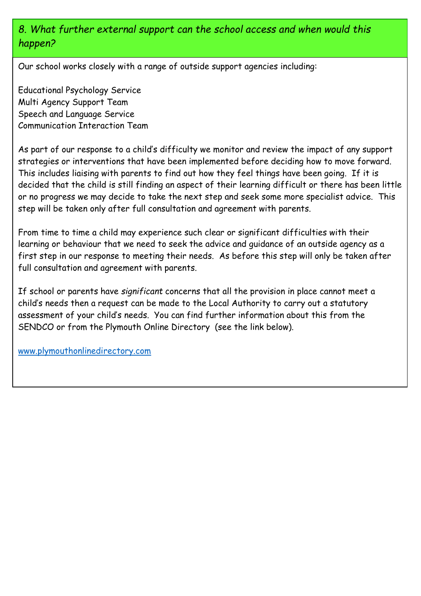# 8. What further external support can the school access and when would this happen?

Our school works closely with a range of outside support agencies including:

Educational Psychology Service Multi Agency Support Team Speech and Language Service Communication Interaction Team

As part of our response to a child's difficulty we monitor and review the impact of any support strategies or interventions that have been implemented before deciding how to move forward. This includes liaising with parents to find out how they feel things have been going. If it is decided that the child is still finding an aspect of their learning difficult or there has been little or no progress we may decide to take the next step and seek some more specialist advice. This step will be taken only after full consultation and agreement with parents.

From time to time a child may experience such clear or significant difficulties with their learning or behaviour that we need to seek the advice and guidance of an outside agency as a first step in our response to meeting their needs. As before this step will only be taken after full consultation and agreement with parents.

 SENDCO or from the Plymouth Online Directory (see the link below). If school or parents have significant concerns that all the provision in place cannot meet a child's needs then a request can be made to the Local Authority to carry out a statutory assessment of your child's needs. You can find further information about this from the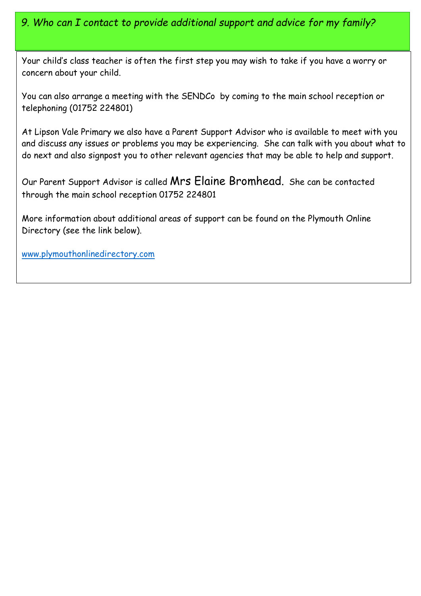# 9. Who can I contact to provide additional support and advice for my family?

Your child's class teacher is often the first step you may wish to take if you have a worry or concern about your child.

You can also arrange a meeting with the SENDCo by coming to the main school reception or telephoning (01752 224801)

At Lipson Vale Primary we also have a Parent Support Advisor who is available to meet with you and discuss any issues or problems you may be experiencing. She can talk with you about what to do next and also signpost you to other relevant agencies that may be able to help and support.

Our Parent Support Advisor is called Mrs Elaine Bromhead. She can be contacted through the main school reception 01752 224801

More information about additional areas of support can be found on the Plymouth Online Directory (see the link below).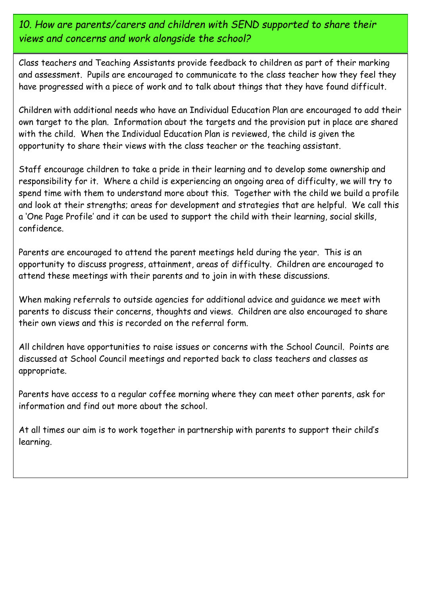10. How are parents/carers and children with SEND supported to share their views and concerns and work alongside the school?

Class teachers and Teaching Assistants provide feedback to children as part of their marking and assessment. Pupils are encouraged to communicate to the class teacher how they feel they have progressed with a piece of work and to talk about things that they have found difficult.

Children with additional needs who have an Individual Education Plan are encouraged to add their own target to the plan. Information about the targets and the provision put in place are shared with the child. When the Individual Education Plan is reviewed, the child is given the opportunity to share their views with the class teacher or the teaching assistant.

Staff encourage children to take a pride in their learning and to develop some ownership and responsibility for it. Where a child is experiencing an ongoing area of difficulty, we will try to spend time with them to understand more about this. Together with the child we build a profile and look at their strengths; areas for development and strategies that are helpful. We call this a 'One Page Profile' and it can be used to support the child with their learning, social skills, confidence.

Parents are encouraged to attend the parent meetings held during the year. This is an opportunity to discuss progress, attainment, areas of difficulty. Children are encouraged to attend these meetings with their parents and to join in with these discussions.

When making referrals to outside agencies for additional advice and guidance we meet with parents to discuss their concerns, thoughts and views. Children are also encouraged to share their own views and this is recorded on the referral form.

All children have opportunities to raise issues or concerns with the School Council. Points are discussed at School Council meetings and reported back to class teachers and classes as appropriate.

Parents have access to a regular coffee morning where they can meet other parents, ask for information and find out more about the school.

At all times our aim is to work together in partnership with parents to support their child's learning.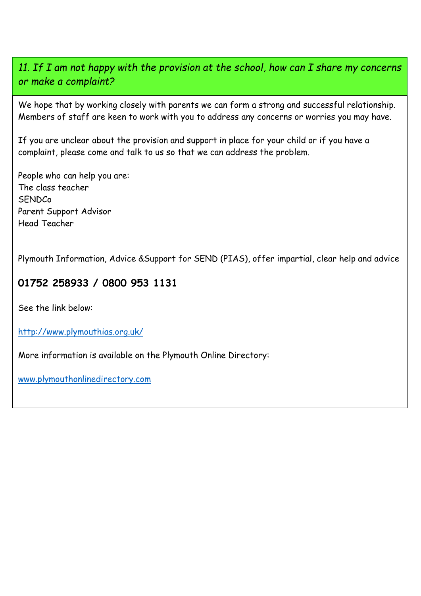### 11. If I am not happy with the provision at the school, how can I share my concerns or make a complaint?

We hope that by working closely with parents we can form a strong and successful relationship. Members of staff are keen to work with you to address any concerns or worries you may have.

If you are unclear about the provision and support in place for your child or if you have a complaint, please come and talk to us so that we can address the problem.

People who can help you are: The class teacher SENDCo Parent Support Advisor Head Teacher

Plymouth Information, Advice &Support for SEND (PIAS), offer impartial, clear help and advice

# 01752 258933 / 0800 953 1131

See the link below:

http://www.plymouthias.org.uk/

More information is available on the Plymouth Online Directory: